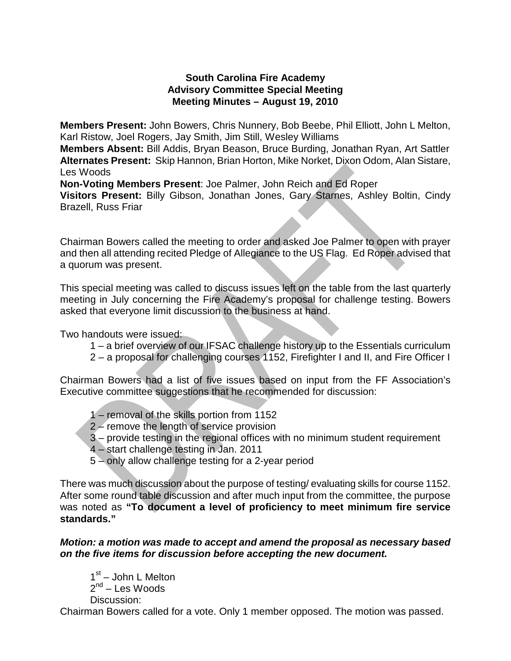### **South Carolina Fire Academy Advisory Committee Special Meeting Meeting Minutes – August 19, 2010**

**Members Present:** John Bowers, Chris Nunnery, Bob Beebe, Phil Elliott, John L Melton, Karl Ristow, Joel Rogers, Jay Smith, Jim Still, Wesley Williams

**Members Absent:** Bill Addis, Bryan Beason, Bruce Burding, Jonathan Ryan, Art Sattler **Alternates Present:** Skip Hannon, Brian Horton, Mike Norket, Dixon Odom, Alan Sistare, Les Woods

**Non-Voting Members Present**: Joe Palmer, John Reich and Ed Roper

**Visitors Present:** Billy Gibson, Jonathan Jones, Gary Starnes, Ashley Boltin, Cindy Brazell, Russ Friar

Chairman Bowers called the meeting to order and asked Joe Palmer to open with prayer and then all attending recited Pledge of Allegiance to the US Flag. Ed Roper advised that a quorum was present.

This special meeting was called to discuss issues left on the table from the last quarterly meeting in July concerning the Fire Academy's proposal for challenge testing. Bowers asked that everyone limit discussion to the business at hand.

Two handouts were issued:

- 1 a brief overview of our IFSAC challenge history up to the Essentials curriculum
- 2 a proposal for challenging courses 1152, Firefighter I and II, and Fire Officer I

Chairman Bowers had a list of five issues based on input from the FF Association's Executive committee suggestions that he recommended for discussion:

- 1 removal of the skills portion from 1152
- 2 remove the length of service provision
- 3 provide testing in the regional offices with no minimum student requirement
- 4 start challenge testing in Jan. 2011
- 5 only allow challenge testing for a 2-year period

There was much discussion about the purpose of testing/ evaluating skills for course 1152. After some round table discussion and after much input from the committee, the purpose was noted as **"To document a level of proficiency to meet minimum fire service standards."**

#### *Motion: a motion was made to accept and amend the proposal as necessary based on the five items for discussion before accepting the new document.*

 $1<sup>st</sup>$  – John L Melton  $2^{nd}$  – Les Woods Discussion:

Chairman Bowers called for a vote. Only 1 member opposed. The motion was passed.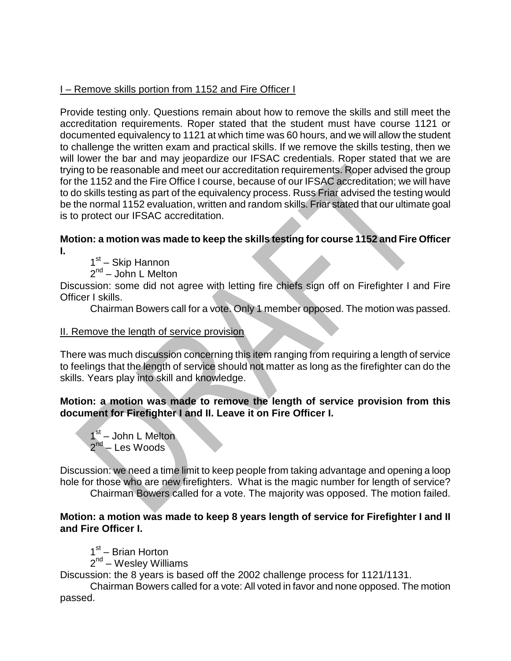# I – Remove skills portion from 1152 and Fire Officer I

Provide testing only. Questions remain about how to remove the skills and still meet the accreditation requirements. Roper stated that the student must have course 1121 or documented equivalency to 1121 at which time was 60 hours, and we will allow the student to challenge the written exam and practical skills. If we remove the skills testing, then we will lower the bar and may jeopardize our IFSAC credentials. Roper stated that we are trying to be reasonable and meet our accreditation requirements. Roper advised the group for the 1152 and the Fire Office I course, because of our IFSAC accreditation; we will have to do skills testing as part of the equivalency process. Russ Friar advised the testing would be the normal 1152 evaluation, written and random skills. Friar stated that our ultimate goal is to protect our IFSAC accreditation.

### **Motion: a motion was made to keep the skills testing for course 1152 and Fire Officer I.**

1<sup>st</sup> – Skip Hannon

 $2^{nd}$  – John L Melton

Discussion: some did not agree with letting fire chiefs sign off on Firefighter I and Fire Officer I skills.

Chairman Bowers call for a vote. Only 1 member opposed. The motion was passed.

# II. Remove the length of service provision

There was much discussion concerning this item ranging from requiring a length of service to feelings that the length of service should not matter as long as the firefighter can do the skills. Years play into skill and knowledge.

## **Motion: a motion was made to remove the length of service provision from this document for Firefighter I and II. Leave it on Fire Officer I.**

 $1<sup>st</sup>$  – John L Melton 2<sup>nd</sup> – Les Woods

Discussion: we need a time limit to keep people from taking advantage and opening a loop hole for those who are new firefighters. What is the magic number for length of service?

Chairman Bowers called for a vote. The majority was opposed. The motion failed.

## **Motion: a motion was made to keep 8 years length of service for Firefighter I and II and Fire Officer I.**

 $1<sup>st</sup>$  – Brian Horton

 $2<sup>nd</sup>$  – Wesley Williams

Discussion: the 8 years is based off the 2002 challenge process for 1121/1131.

Chairman Bowers called for a vote: All voted in favor and none opposed. The motion passed.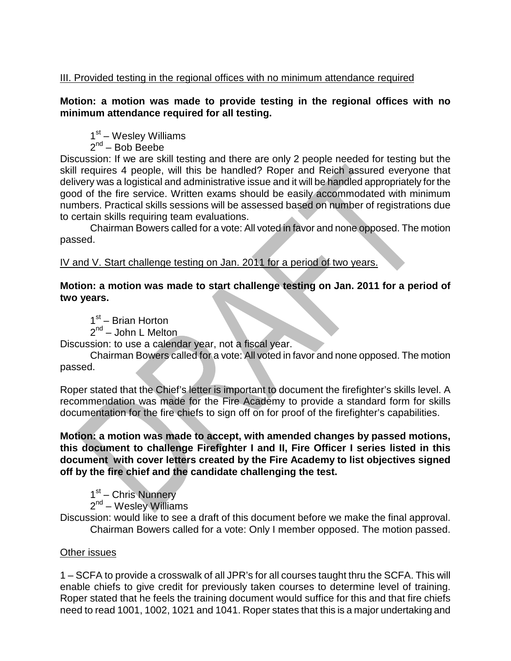# III. Provided testing in the regional offices with no minimum attendance required

## **Motion: a motion was made to provide testing in the regional offices with no minimum attendance required for all testing.**

 $1<sup>st</sup>$  – Wesley Williams

 $2^{nd}$  – Bob Beebe

Discussion: If we are skill testing and there are only 2 people needed for testing but the skill requires 4 people, will this be handled? Roper and Reich assured everyone that delivery was a logistical and administrative issue and it will be handled appropriately for the good of the fire service. Written exams should be easily accommodated with minimum numbers. Practical skills sessions will be assessed based on number of registrations due to certain skills requiring team evaluations.

Chairman Bowers called for a vote: All voted in favor and none opposed. The motion passed.

IV and V. Start challenge testing on Jan. 2011 for a period of two years.

### **Motion: a motion was made to start challenge testing on Jan. 2011 for a period of two years.**

1<sup>st</sup> – Brian Horton  $2^{nd}$  – John L Melton

Discussion: to use a calendar year, not a fiscal year.

Chairman Bowers called for a vote: All voted in favor and none opposed. The motion passed.

Roper stated that the Chief's letter is important to document the firefighter's skills level. A recommendation was made for the Fire Academy to provide a standard form for skills documentation for the fire chiefs to sign off on for proof of the firefighter's capabilities.

**Motion: a motion was made to accept, with amended changes by passed motions, this document to challenge Firefighter I and II, Fire Officer I series listed in this document with cover letters created by the Fire Academy to list objectives signed off by the fire chief and the candidate challenging the test.**

1<sup>st</sup> – Chris Nunnery

 $2<sup>nd</sup>$  – Wesley Williams

Discussion: would like to see a draft of this document before we make the final approval. Chairman Bowers called for a vote: Only I member opposed. The motion passed.

#### Other issues

1 – SCFA to provide a crosswalk of all JPR's for all courses taught thru the SCFA. This will enable chiefs to give credit for previously taken courses to determine level of training. Roper stated that he feels the training document would suffice for this and that fire chiefs need to read 1001, 1002, 1021 and 1041. Roper states that this is a major undertaking and